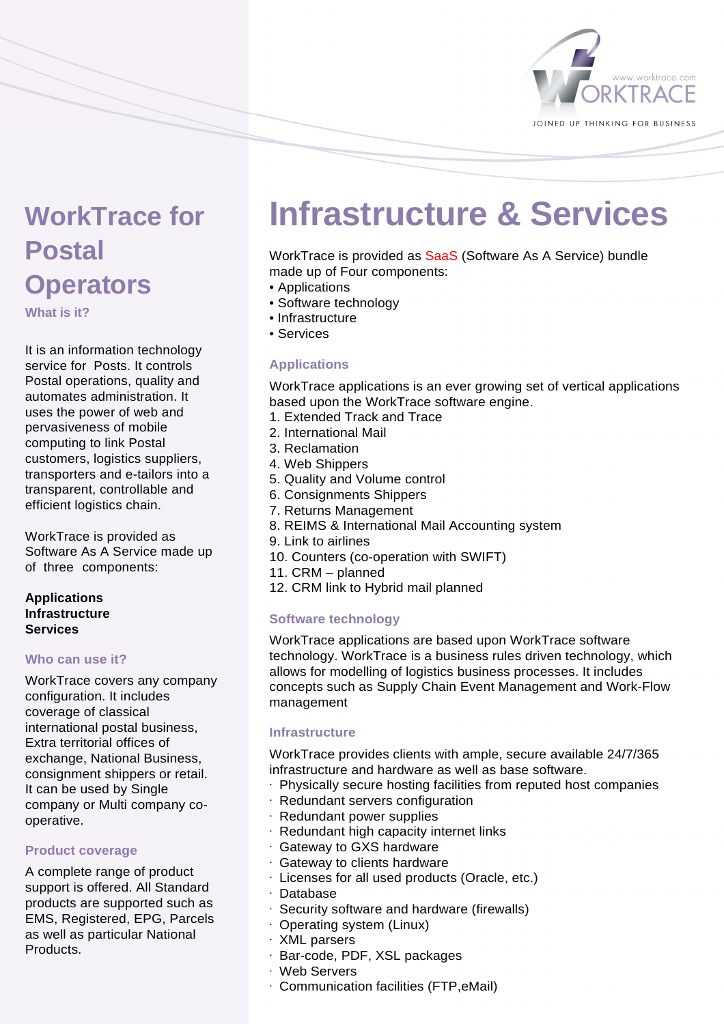

# **WorkTrace for Postal Operators**

**What is it?** 

It is an information technology service for Posts. It controls Postal operations, quality and automates administration. It uses the power of web and pervasiveness of mobile computing to link Postal customers, logistics suppliers, transporters and e-tailors into a transparent, controllable and efficient logistics chain.

WorkTrace is provided as Software As A Service made up of three components:

### **Applications Infrastructure Services**

#### **Who can use it?**

WorkTrace covers any company configuration. It includes coverage of classical international postal business, Extra territorial offices of exchange, National Business, consignment shippers or retail. It can be used by Single company or Multi company cooperative.

# **Product coverage**

A complete range of product support is offered. All Standard products are supported such as EMS, Registered, EPG, Parcels as well as particular National Products.

# **Infrastructure & Services**

WorkTrace is provided as SaaS (Software As A Service) bundle made up of Four components:

- Applications
- Software technology
- Infrastructure
- Services

# **Applications**

WorkTrace applications is an ever growing set of vertical applications based upon the WorkTrace software engine.

- 1. Extended Track and Trace
- 2. International Mail
- 3. Reclamation
- 4. Web Shippers
- 5. Quality and Volume control
- 6. Consignments Shippers
- 7. Returns Management
- 8. REIMS & International Mail Accounting system
- 9. Link to airlines
- 10. Counters (co-operation with SWIFT)
- 11. CRM planned
- 12. CRM link to Hybrid mail planned

# **Software technology**

WorkTrace applications are based upon WorkTrace software technology. WorkTrace is a business rules driven technology, which allows for modelling of logistics business processes. It includes concepts such as Supply Chain Event Management and Work-Flow management

#### **Infrastructure**

WorkTrace provides clients with ample, secure available 24/7/365 infrastructure and hardware as well as base software.

- · Physically secure hosting facilities from reputed host companies
- · Redundant servers configuration
- · Redundant power supplies
- · Redundant high capacity internet links
- · Gateway to GXS hardware
- · Gateway to clients hardware
- · Licenses for all used products (Oracle, etc.)
- · Database
- · Security software and hardware (firewalls)
- · Operating system (Linux)
- · XML parsers
- · Bar-code, PDF, XSL packages
- · Web Servers
- · Communication facilities (FTP,eMail)